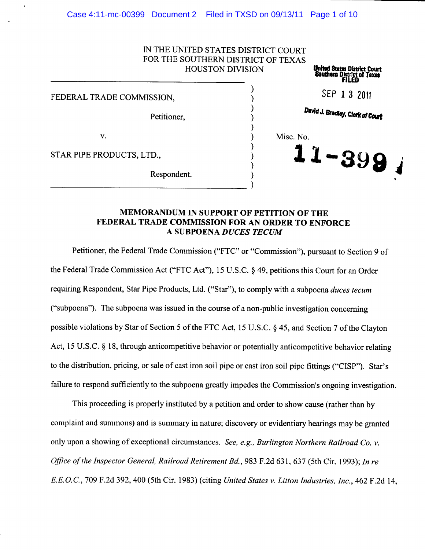| IN THE UNITED STATES DISTRICT COURT |
|-------------------------------------|
| FOR THE SOUTHERN DISTRICT OF TEXAS  |
| HOLISTON DIVISION                   |

|                           | <b>HOUSTON DIVISION</b> | <b>United States District Court</b><br>Southern District of Texas |
|---------------------------|-------------------------|-------------------------------------------------------------------|
| FEDERAL TRADE COMMISSION, |                         | SEP 1 3 2011                                                      |
| Petitioner,               |                         | David J. Bradley, Clerk of Court                                  |
| v.                        |                         | Misc. No.                                                         |
| STAR PIPE PRODUCTS, LTD., |                         | $11 - 399$                                                        |
| Respondent.               |                         |                                                                   |

# **MEMORANDUM IN SUPPORT OF PETITION OF THE FEDERAL TRADE COMMISSION FOR AN ORDER TO ENFORCE A SUBPOENA** *DUCES TECUM*

--------------------)

Petitioner, the Federal Trade Commission ("FTC" or "Commission"), pursuant to Section 9 of the Federal Trade Commission Act ("FTC Act"), 15 U.S.C. § 49, petitions this Court for an Order requiring Respondent, Star Pipe Products, Ltd. ("Star"), to comply with a subpoena *duces tecum*  ("subpoena"). The subpoena was issued in the course of a non-public investigation concerning possible violations by Star of Section 5 of the FTC Act, 15 U.S.C. § 45, and Section 7 of the Clayton Act, 15 U.S.C. § 18, through anticompetitive behavior or potentially anticompetitive behavior relating to the distribution, pricing, or sale of cast iron soil pipe or cast iron soil pipe fittings ("CISP"). Star's failure to respond sufficiently to the subpoena greatly impedes the Commission's ongoing investigation.

This proceeding is properly instituted by a petition and order to show cause (rather than by complaint and summons) and is summary in nature; discovery or evidentiary hearings may be granted only upon a showing of exceptional circumstances. *See, e.g., Burlington Northern Railroad Co. v. Office of the Inspector General, Railroad Retirement Bd.,* 983 F.2d 631,637 (5th Cir. 1993); *In re E.E.O.C.,* 709 F.2d 392,400 (5th Cir. 1983) (citing *United States v. Litton Industries, Inc.,* 462 F.2d 14,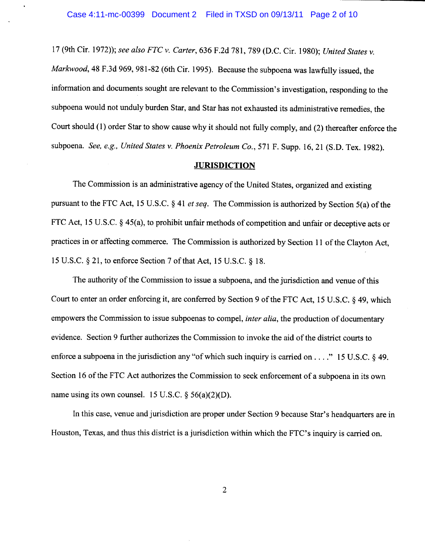<sup>17</sup>(9th Cir. 1972)); *see also FTC v. Carter,* 636 F.2d 781, 789 (D.C. Cir. 1980); *United States v. Markwood,* 48 F.3d 969, 981-82 (6th Cir. 1995). Because the subpoena was lawfully issued, the information and documents sought are relevant to the Commission's investigation, responding to the subpoena would not unduly burden Star, and Star has not exhausted its administrative remedies, the Court should (1) order Star to show cause why it should not fully comply, and (2) thereafter enforce the subpoena. *See, e.g., United States v. Phoenix Petroleum Co.,* 571 F. Supp. 16, 21 (S.D. Tex. 1982).

## **JURISDICTION**

The Commission is an administrative agency of the United States, organized and existing pursuant to the FTC Act, 15 U.S.C. § 41 *et seq.* The Commission is authorized by Section 5(a) of the FTC Act, 15 U.S.C. § 45(a), to prohibit unfair methods of competition and unfair or deceptive acts or practices in or affecting commerce. The Commission is authorized by Section 11 of the Clayton Act, 15 U.S.C. § 21, to enforce Section 7 of that Act, 15 U.S.C. § 18.

The authority of the Commission to issue a subpoena, and the jurisdiction and venue of this Court to enter an order enforcing it, are conferred by Section 9 of the FTC Act, 15 U.S.C. § 49, which empowers the Commission to issue subpoenas to compel, *inter alia,* the production of documentary evidence. Section 9 further authorizes the Commission to invoke the aid of the district courts to enforce a subpoena in the jurisdiction any "of which such inquiry is carried on ...." 15 U.S.C. § 49. Section 16 of the FTC Act authorizes the Commission to seek enforcement of a subpoena in its own name using its own counsel. 15 U.S.C.  $\S$  56(a)(2)(D).

In this case, venue and jurisdiction are proper under Section 9 because Star's headquarters are in Houston, Texas, and thus this district is a jurisdiction within which the FTC's inquiry is carried on.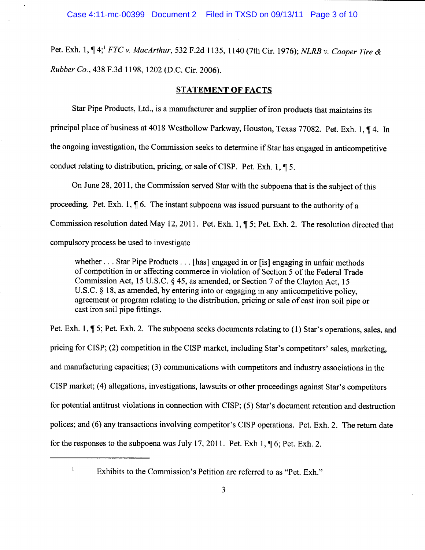Pet. Exh. 1,  $\P$  4; <sup>1</sup> *FTC v. MacArthur*, 532 F.2d 1135, 1140 (7th Cir. 1976); *NLRB v. Cooper Tire & Rubber Co.,* 438 F.3d 1198, 1202 (D.C. Cir. 2006).

# **STATEMENT OF FACTS**

Star Pipe Products, Ltd., is a manufacturer and supplier of iron products that maintains its principal place of business at 4018 Westhollow Parkway, Houston, Texas 77082. Pet. Exh. 1, ¶ 4. In the ongoing investigation, the Commission seeks to determine if Star has engaged in anticompetitive conduct relating to distribution, pricing, or sale of CISP. Pet. Exh. 1,  $\P$  5.

On June 28, 2011, the Commission served Star with the subpoena that is the subject of this proceeding. Pet. Exh. 1,  $\P$  6. The instant subpoena was issued pursuant to the authority of a Commission resolution dated May 12, 2011. Pet. Exh. 1, ¶ 5; Pet. Exh. 2. The resolution directed that compulsory process be used to investigate

whether ... Star Pipe Products ... [has] engaged in or [is] engaging in unfair methods of competition in or affecting commerce in violation of Section 5 of the Federal Trade Commission Act, 15 U.S.C. § 45, as amended, or Section 7 of the Clayton Act, <sup>15</sup> U.S.C. § 18, as amended, by entering into or engaging in any anticompetitive policy, agreement or program relating to the distribution, pricing or sale of cast iron soil pipe or cast iron soil pipe fittings.

Pet. Exh. 1,  $\P$  5; Pet. Exh. 2. The subpoena seeks documents relating to (1) Star's operations, sales, and pricing for CISP; (2) competition in the CISP market, including Star's competitors' sales, marketing, and manufacturing capacities; (3) communications with competitors and industry associations in the CISP market; (4) allegations, investigations, lawsuits or other proceedings against Star's competitors for potential antitrust violations in connection with CISP; (5) Star's document retention and destruction polices; and (6) any transactions involving competitor's CISP operations. Pet. Exh. 2. The return date for the responses to the subpoena was July 17, 2011. Pet. Exh 1,  $\P$  6; Pet. Exh. 2.

 $\mathbf{I}$ 

Exhibits to the Commission's Petition are referred to as "Pet. Exh."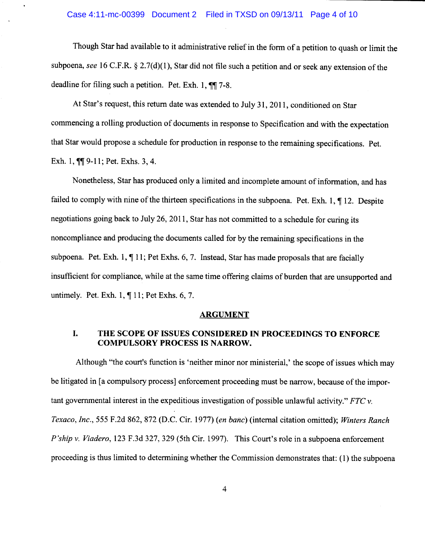#### Case 4:11-mc-00399 Document 2 Filed in TXSD on 09/13/11 Page 4 of 10

Though Star had available to it administrative relief in the form of a petition to quash or limit the subpoena, *see* 16 C.F.R. § 2.7(d)(1), Star did not file such a petition and or seek any extension of the deadline for filing such a petition. Pet. Exh. 1,  $\P$  $\P$  7-8.

At Star's request, this return date was extended to July 31, 2011, conditioned on Star commencing a rolling production of documents in response to Specification and with the expectation that Star would propose a schedule for production in response to the remaining specifications. Pet. Exh. 1,  $\P$ [ $\Box$  9-11; Pet. Exhs. 3, 4.

Nonetheless, Star has produced only a limited and incomplete amount of information, and has failed to comply with nine of the thirteen specifications in the subpoena. Pet. Exh. 1,  $\P$  12. Despite negotiations going back to July 26, 2011, Star has not committed to a schedule for curing its noncompliance and producing the documents called for by the remaining specifications in the subpoena. Pet. Exh. 1, ¶ 11; Pet Exhs. 6, 7. Instead, Star has made proposals that are facially insufficient for compliance, while at the same time offering claims of burden that are unsupported and untimely. Pet. Exh. 1, ¶ 11; Pet Exhs. 6, 7.

#### **ARGUMENT**

## I. **THE SCOPE OF ISSUES CONSIDERED IN PROCEEDINGS TO ENFORCE COMPULSORY PROCESS IS NARROW.**

Although "the court's function is 'neither minor nor ministerial,' the scope of issues which may be litigated in [a compulsory process] enforcement proceeding must be narrow, because of the important governmental interest in the expeditious investigation of possible unlawful activity." *FTC* v. *Texaco, Inc.,* 555 F.2d 862, 872 (D.C. Cir. 1977) *(en bane)* (internal citation omitted); *Winters Ranch P'ship* v. *Viadero,* 123 F.3d 327, 329 (5th Cir. 1997). This Court's role in a subpoena enforcement proceeding is thus limited to determining whether the Commission demonstrates that: (1) the subpoena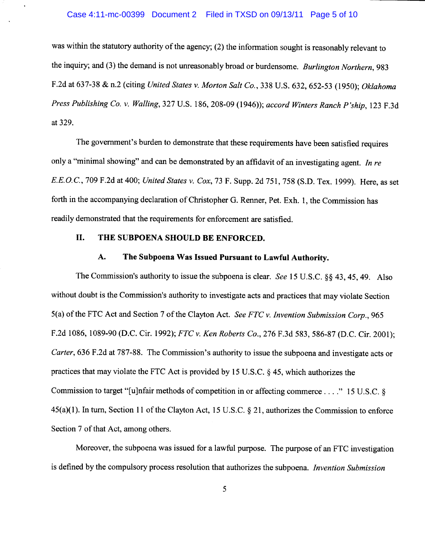#### Case 4:11-mc-00399 Document 2 Filed in TXSD on 09/13/11 Page 5 of 10

was within the statutory authority of the agency; (2) the information sought is reasonably relevant to the inquiry; and (3) the demand is not unreasonably broad or burdensome. *Burlington Northern,* <sup>983</sup> F.2d at 637-38 & n.2 (citing *United States v. Morton Salt Co.,* 338 U.S. 632, 652-53 (1950); *Oklahoma Press Publishing Co. v. Walling,* 327 U.S. 186, 208-09 (1946)); *accord Winters Ranch P'ship,* 123 F.3d at 329.

The government's burden to demonstrate that these requirements have been satisfied requires only a "minimal showing" and can be demonstrated by an affidavit of an investigating agent. *In re E.E.O.C.,* 709 F.2d at 400; *United States v. Cox,* 73 F. Supp. 2d 751, 758 (S.D. Tex. 1999). Here, as set forth in the accompanying declaration of Christopher G. Renner, Pet. Exh. 1, the Commission has readily demonstrated that the requirements for enforcement are satisfied.

## **II. THE SUBPOENA SHOULD BE ENFORCED.**

# **A. The Subpoena Was Issued Pursuant to Lawful Authority.**

The Commission's authority to issue the subpoena is clear. *See* 15 U.S.C. §§ 43, 45, 49. Also without doubt is the Commission's authority to investigate acts and practices that may violate Section 5(a) of the FTC Act and Section 7 of the Clayton Act. *See FTC v. Invention Submission Corp.,* <sup>965</sup> F.2d 1086, 1089-90 (D.C. Cir. 1992); *FTC v. Ken Roberts Co.,* 276 F.3d 583, 586-87 (D.C. Cir. 2001); *Carter,* 636 F.2d at 787-88. The Commission's authority to issue the subpoena and investigate acts or practices that may violate the FTC Act is provided by 15 U.S.C. § 45, which authorizes the Commission to target "[u]nfair methods of competition in or affecting commerce .... " 15 U.S.C. § 45(a)(l). In tum, Section 11 of the Clayton Act, 15 U.S.C. § 21, authorizes the Commission to enforce Section 7 of that Act, among others.

Moreover, the subpoena was issued for a lawful purpose. The purpose of an FTC investigation is defined by the compulsory process resolution that authorizes the subpoena. *Invention Submission*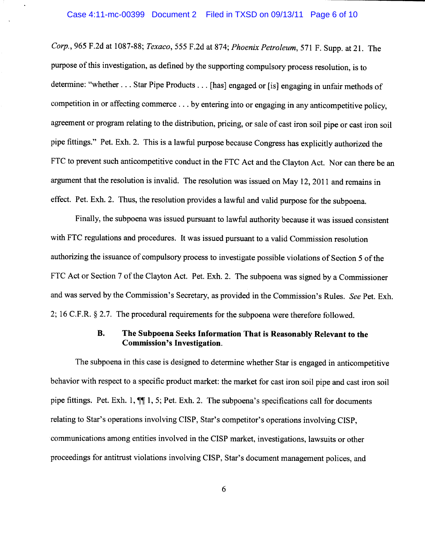#### Case 4:11-mc-00399 Document 2 Filed in TXSD on 09/13/11 Page 6 of 10

*Corp.,* 965 F.2d at 1087-88; *Texaco,* 555 F.2d at 874; *Phoenix Petroleum,* 571 F. Supp. at 21. The purpose of this investigation, as defined by the supporting compulsory process resolution, is to determine: "whether ... Star Pipe Products ... [has] engaged or [is] engaging in unfair methods of competition in or affecting commerce ... by entering into or engaging in any anticompetitive policy, agreement or program relating to the distribution, pricing, or sale of cast iron soil pipe or cast iron soil <sup>p</sup>ipe fittings." Pet. Exh. 2. This is a lawful purpose because Congress has explicitly authorized the FTC to prevent such anticompetitive conduct in the FTC Act and the Clayton Act. Nor can there be an argument that the resolution is invalid. The resolution was issued on May 12, 2011 and remains in effect. Pet. Exh. 2. Thus, the resolution provides a lawful and valid purpose for the subpoena.

Finally, the subpoena was issued pursuant to lawful authority because it was issued consistent with FTC regulations and procedures. It was issued pursuant to a valid Commission resolution authorizing the issuance of compulsory process to investigate possible violations of Section 5 of the FTC Act or Section 7 of the Clayton Act. Pet. Exh. 2. The subpoena was signed by a Commissioner and was served by the Commission's Secretary, as provided in the Commission's Rules. *See* Pet. Exh. 2; 16 C.F.R. § 2.7. The procedural requirements for the subpoena were therefore followed.

# **B. The Subpoena Seeks Information That is Reasonably Relevant to the Commission's Investigation.**

The subpoena in this case is designed to determine whether Star is engaged in anticompetitive behavior with respect to a specific product market: the market for cast iron soil pipe and cast iron soil pipe fittings. Pet. Exh. 1,  $\P$  1, 5; Pet. Exh. 2. The subpoena's specifications call for documents relating to Star's operations involving CISP, Star's competitor's operations involving CISP, communications among entities involved in the CISP market, investigations, lawsuits or other proceedings for antitrust violations involving CISP, Star's document management polices, and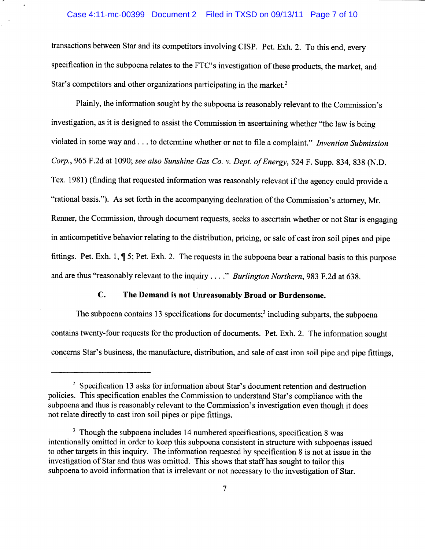#### Case 4:11-mc-00399 Document 2 Filed in TXSD on 09/13/11 Page 7 of 10

transactions between Star and its competitors involving CISP. Pet. Exh. 2. To this end, every specification in the subpoena relates to the FTC's investigation of these products, the market, and Star's competitors and other organizations participating in the market.<sup>2</sup>

Plainly, the information sought by the subpoena is reasonably relevant to the Commission's investigation, as it is designed to assist the Commission in ascertaining whether "the law is being violated in some way and ... to determine whether or not to file a complaint." *Invention Submission Corp.,* 965 F.2d at 1090; *see also Sunshine Gas Co. v. Dept. of Energy,* 524 F. Supp. 834,838 (N.D. Tex. 1981) ( finding that requested information was reasonably relevant if the agency could provide a "rational basis."). As set forth in the accompanying declaration of the Commission's attorney, Mr. Renner, the Commission, through document requests, seeks to ascertain whether or not Star is engaging in anticompetitive behavior relating to the distribution, pricing, or sale of cast iron soil pipes and pipe fittings. Pet. Exh. 1,  $\P$  5; Pet. Exh. 2. The requests in the subpoena bear a rational basis to this purpose and are thus "reasonably relevant to the inquiry .... " *Burlington Northern,* 983 F.2d at 638.

# **C. The Demand is not Unreasonably Broad or Burdensome.**

The subpoena contains 13 specifications for documents;<sup>3</sup> including subparts, the subpoena contains twenty-four requests for the production of documents. Pet. Exh. 2. The information sought concerns Star's business, the manufacture, distribution, and sale of cast iron soil pipe and pipe fittings,

 $2$  Specification 13 asks for information about Star's document retention and destruction policies. This specification enables the Commission to understand Star's compliance with the subpoena and thus is reasonably relevant to the Commission's investigation even though it does not relate directly to cast iron soil pipes or pipe fittings.

 $3$  Though the subpoena includes 14 numbered specifications, specification 8 was intentionally omitted in order to keep this subpoena consistent in structure with subpoenas issued to other targets in this inquiry. The information requested by specification 8 is not at issue in the investigation of Star and thus was omitted. This shows that staff has sought to tailor this subpoena to avoid information that is irrelevant or not necessary to the investigation of Star.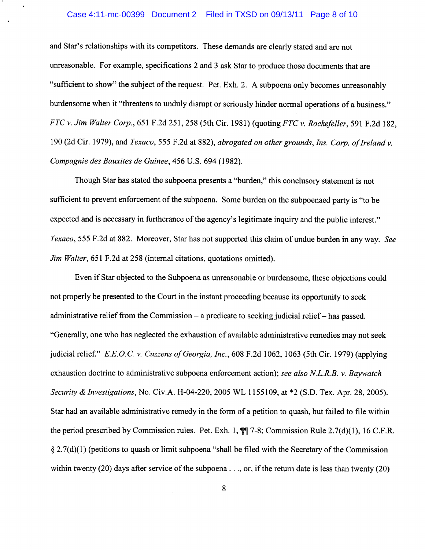#### Case 4:11-mc-00399 Document 2 Filed in TXSD on 09/13/11 Page 8 of 10

and Star's relationships with its competitors. These demands are clearly stated and are not unreasonable. For example, specifications 2 and 3 ask Star to produce those documents that are "sufficient to show" the subject of the request. Pet. Exh. 2. A subpoena only becomes unreasonably burdensome when it "threatens to unduly disrupt or seriously hinder normal operations of a business." *FTC v. Jim Walter Corp.,* 651 F.2d 251,258 (5th Cir. 1981) (quoting *FTC v. Rockefeller,* 591 F.2d 182, 190 (2d Cir. 1979), and *Texaco,* 555 F.2d at 882), *abrogated on other grounds, Ins. Corp. of Ireland v. Compagnie des Bauxites de Guinee,* 456 U.S. 694 (1982).

Though Star has stated the subpoena presents a "burden," this conclusory statement is not sufficient to prevent enforcement of the subpoena. Some burden on the subpoenaed party is "to be expected and is necessary in furtherance of the agency's legitimate inquiry and the public interest." *Texaco,* 555 F.2d at 882. Moreover, Star has not supported this claim of undue burden in any way. *See Jim Walter,* 651 F.2d at 258 (internal citations, quotations omitted).

Even if Star objected to the Subpoena as unreasonable or burdensome, these objections could not properly be presented to the Court in the instant proceeding because its opportunity to seek administrative relief from the Commission  $-$  a predicate to seeking judicial relief  $-$  has passed. "Generally, one who has neglected the exhaustion of available administrative remedies may not seek judicial relief." *E.E.* 0. C. *v. Cuzzens of Georgia, Inc.,* 608 F .2d 1062, 1063 ( 5th Cir. 1979) ( applying exhaustion doctrine to administrative subpoena enforcement action); *see also NL.R.B. v. Baywatch Security & Investigations,* No. Civ.A. H-04-220, 2005 WL 1155109, at \*2 (S.D. Tex. Apr. 28, 2005). Star had an available administrative remedy in the form of a petition to quash, but failed to file within the period prescribed by Commission rules. Pet. Exh. 1, **117-8;** Commission Rule 2.7(d)(l), 16 C.F.R.  $\S 2.7(d)(1)$  (petitions to quash or limit subpoena "shall be filed with the Secretary of the Commission within twenty (20) days after service of the subpoena . . ., or, if the return date is less than twenty (20)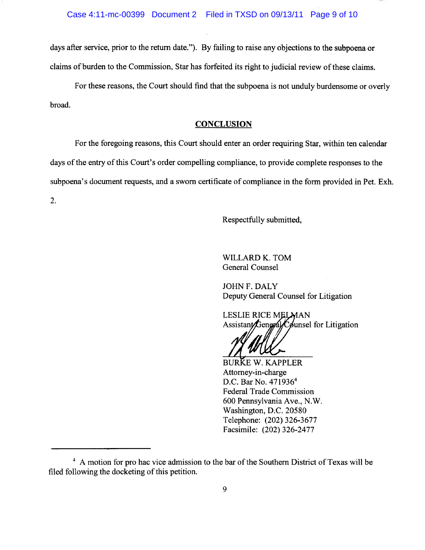days after service, prior to the return date."). By failing to raise any objections to the subpoena or claims of burden to the Commission, Star has forfeited its right to judicial review of these claims.

For these reasons, the Court should find that the subpoena is not unduly burdensome or overly broad.

## **CONCLUSION**

For the foregoing reasons, this Court should enter an order requiring Star, within ten calendar days of the entry of this Court's order compelling compliance, to provide complete responses to the subpoena's document requests, and a sworn certificate of compliance in the form provided in Pet. Exh.

2.

Respectfully submitted,

WILLARD K. TOM General Counsel

JOHN F. DALY Deputy General Counsel for Litigation

**LESLIE RICE MELMAN** Assistant General Counsel for Litigation

BURKE W. KAPPLER Attorney-in-charge D.C. Bar No. 471936<sup>4</sup> Federal Trade Commission 600 Pennsylvania Ave., N.W. Washington, D.C. 20580 Telephone: (202) 326-3677 Facsimile: (202) 326-2477

<sup>&</sup>lt;sup>4</sup> A motion for pro hac vice admission to the bar of the Southern District of Texas will be filed following the docketing of this petition.